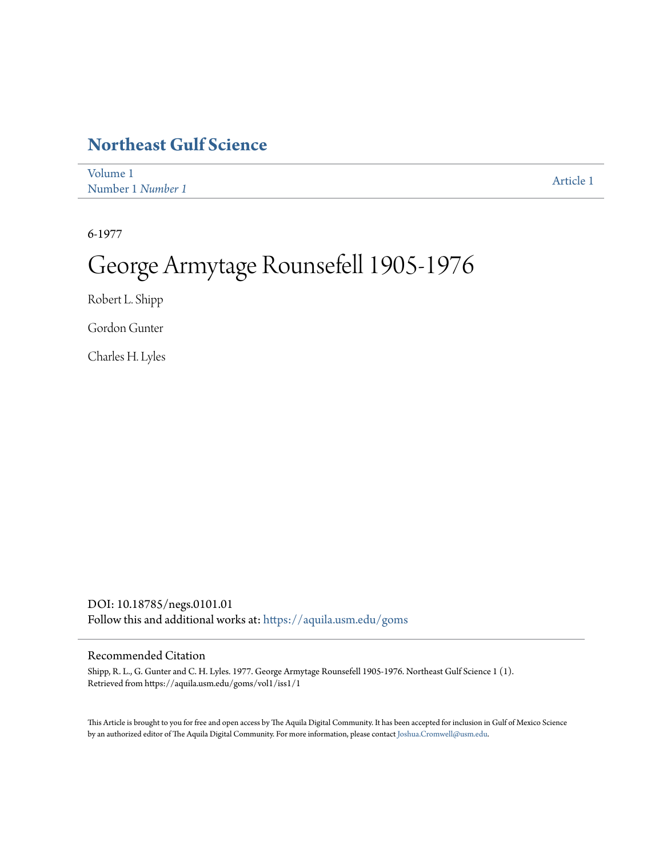# **[Northeast Gulf Science](https://aquila.usm.edu/goms?utm_source=aquila.usm.edu%2Fgoms%2Fvol1%2Fiss1%2F1&utm_medium=PDF&utm_campaign=PDFCoverPages)**

| Volume 1          | Article 1 |
|-------------------|-----------|
| Number 1 Number 1 |           |

6-1977

# George Armytage Rounsefell 1905-1976

Robert L. Shipp

Gordon Gunter

Charles H. Lyles

DOI: 10.18785/negs.0101.01 Follow this and additional works at: [https://aquila.usm.edu/goms](https://aquila.usm.edu/goms?utm_source=aquila.usm.edu%2Fgoms%2Fvol1%2Fiss1%2F1&utm_medium=PDF&utm_campaign=PDFCoverPages)

## Recommended Citation

Shipp, R. L., G. Gunter and C. H. Lyles. 1977. George Armytage Rounsefell 1905-1976. Northeast Gulf Science 1 (1). Retrieved from https://aquila.usm.edu/goms/vol1/iss1/1

This Article is brought to you for free and open access by The Aquila Digital Community. It has been accepted for inclusion in Gulf of Mexico Science by an authorized editor of The Aquila Digital Community. For more information, please contact [Joshua.Cromwell@usm.edu](mailto:Joshua.Cromwell@usm.edu).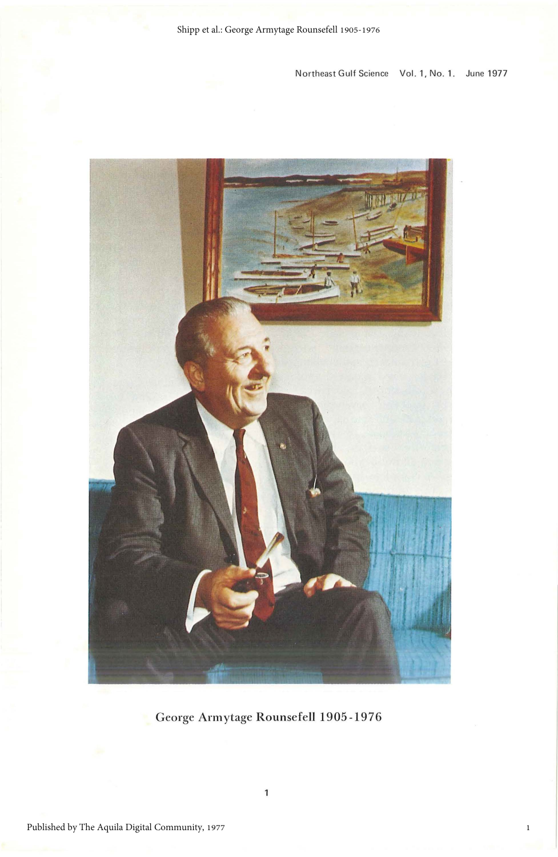Northeast Gulf Science Vol. 1, No. 1. June 1977



George Armytage Rounsefell 1905 -1976

1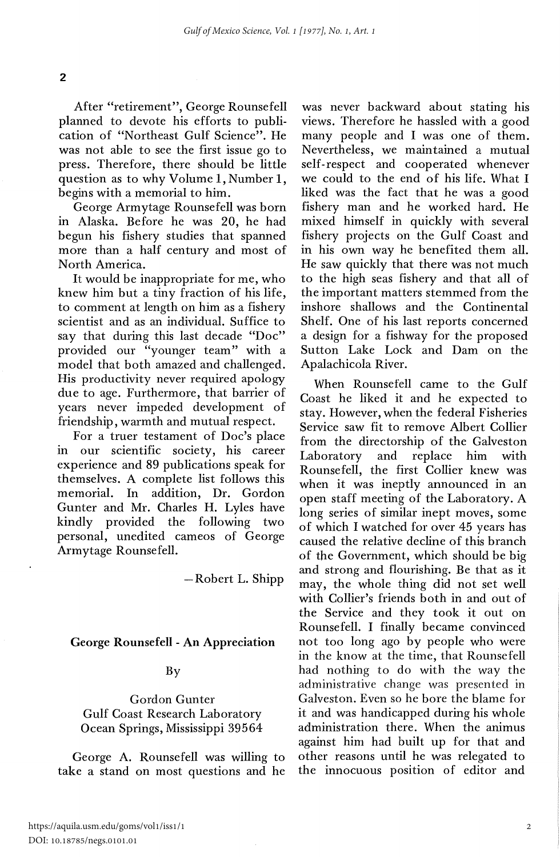After "retirement", George Rounsefell planned to devote his efforts to publication of "Northeast Gulf Science". He was not able to see the first issue go to press. Therefore, there should be little question as to why Volume 1, Number 1, begins with a memorial to him.

George Armytage Rounsefell was born in Alaska. Before he was 20, he had begun his fishery studies that spanned more than a half century and most of North America.

It would be inappropriate for me, who knew him but a tiny fraction of his life, to comment at length on him as a fishery scientist and as an individual. Suffice to say that during this last decade "Doc" provided our "younger team" with a model that both amazed and challenged. His productivity never required apology due to age. Furthermore, that barrier of years never impeded development of friendship, warmth and mutual respect.

For a truer testament of Doc's place in our scientific society, his career experience and 89 publications speak for themselves. A complete list follows this memorial. In addition, Dr. Gordon Gunter and Mr. Charles H. Lyles have kindly provided the following two personal, unedited cameos of George Armytage Rounsefell.

-Robert L. Shipp

#### George Rounsefell - An Appreciation

#### By

Gordon Gunter Gulf Coast Research Laboratory Ocean Springs, Mississippi 39564

George A. Rounsefell was willing to take a stand on most questions and he

was never backward about stating his views. Therefore he hassled with a good many people and I was one of them. Nevertheless, we maintained a mutual self-respect and cooperated whenever we could to the end of his life. What I liked was the fact that he was a good fishery man and he worked hard. He mixed himself in quickly with several fishery projects on the Gulf Coast and in his own way he benefited them all. He saw quickly that there was not much to the high seas fishery and that all of the important matters stemmed from the inshore shallows and the Continental Shelf. One of his last reports concerned a design for a fishway for the proposed Sutton Lake Lock and Dam on the Apalachicola River.

When Rounsefell came to the Gulf Coast he liked it and he expected to stay. However, when the federal Fisheries Service saw fit to remove Albert Collier from the directorship of the Galveston Laboratory and replace him with Rounsefell, the first Collier knew was when it was ineptly announced in an open staff meeting of the Laboratory. A long series of similar inept moves, some of which I watched for over 45 years has caused the relative decline of this branch of the Government, which should be big and strong and flourishing. Be that as it may, the whole thing did not set well with Collier's friends both in and out of the Service and they took it out on Rounsefell. I finally became convinced not too long ago by people who were in the know at the time, that Rounsefell had nothing to do with the way the administrative change was presented in Galveston. Even so he bore the blame for it and was handicapped during his whole administration there. When the animus against him had built up for that and other reasons until he was relegated to the innocuous position of editor and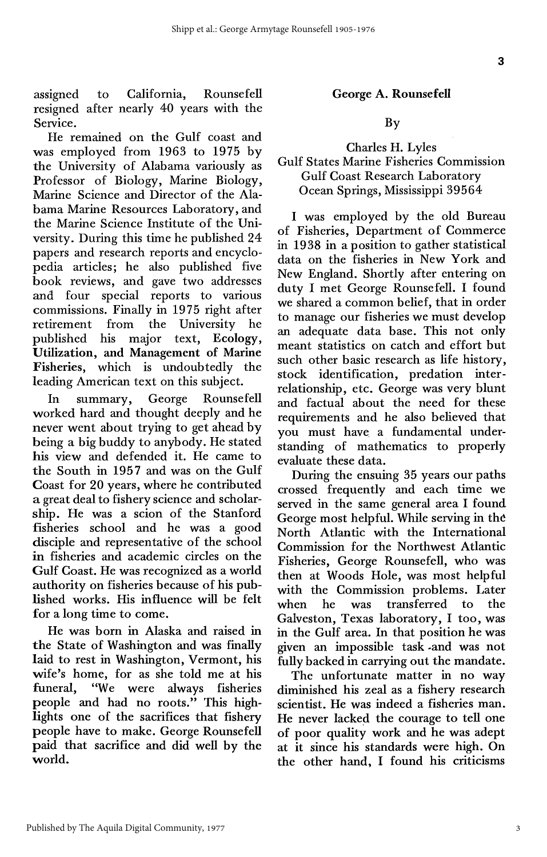assigned resigned after nearly 40 years with the Service. to California, Rounsefell

He remained on the Gulf coast and was employed from 1963 to 1975 by the University of Alabama variously as Professor of Biology, Marine Biology, Marine Science and Director of the Alabama Marine Resources Laboratory, and the Marine Science Institute of the University. During this time he published 24 papers and research reports and encyclopedia articles; he also published five book reviews, and gave two addresses and four special reports to various commissions. Finally in 1975 right after retirement from the University he published his major text, Ecology, Utilization, and Management of Marine Fisheries, which is undoubtedly the leading American text on this subject.

In summary, George Rounsefell worked hard and thought deeply and he never went about trying to get ahead by being a big buddy to anybody. He stated his view and defended it. He came to the South in 1957 and was on the Gulf Coast for 20 years, where he contributed a great deal to fishery science and scholarship. He was a scion of the Stanford fisheries school and he was a good disciple and representative of the school in fisheries and academic circles on the Gulf Coast. He was recognized as a world authority on fisheries because of his published works. His influence will be felt for a long time to come.

He was born in Alaska and raised in the State of Washington and was finally laid to rest in Washington, Vermont, his wife's home, for as she told me at his funeral, "We were always fisheries people and had no roots." This highlights one of the sacrifices that fishery people have to make. George Rounsefell paid that sacrifice and did well by the world.

#### George A. Rounsefell

#### By

### Charles H. Lyles Gulf States Marine Fisheries Commission Gulf Coast Research Laboratory Ocean Springs, Mississippi 39564

I was employed by the old Bureau of Fisheries, Department of Commerce in 1938 in a position to gather statistical data on the fisheries in New York and New England. Shortly after entering on duty I met George Rounsefell. I found we shared a common belief, that in order to manage our fisheries we must develop an adequate data base. This not only meant statistics on catch and effort but such other basic research as life history, stock identification, predation interrelationship, etc. George was very blunt and factual about the need for these requirements and he also believed that you must have. a fundamental understanding of mathematics to properly evaluate these data.

During the ensuing 35 years our paths crossed frequently and each time we served in the same general area I found George most helpful. While serving in the North Atlantic with the International Commission for the Northwest Atlantic Fisheries, George Rounsefell, who was then at Woods Hole, was most helpful with the Commission problems. Later when he was transferred to the Galveston, Texas laboratory, I too, was in the Gulf area. In that position he was given an impossible task -and was not fully backed in carrying out the mandate.

The unfortunate matter in no way diminished his zeal as a fishery research scientist. He was indeed a fisheries man. He never lacked the courage to tell one of poor quality work and he was adept at it since his standards were high. On the other hand, I found his criticisms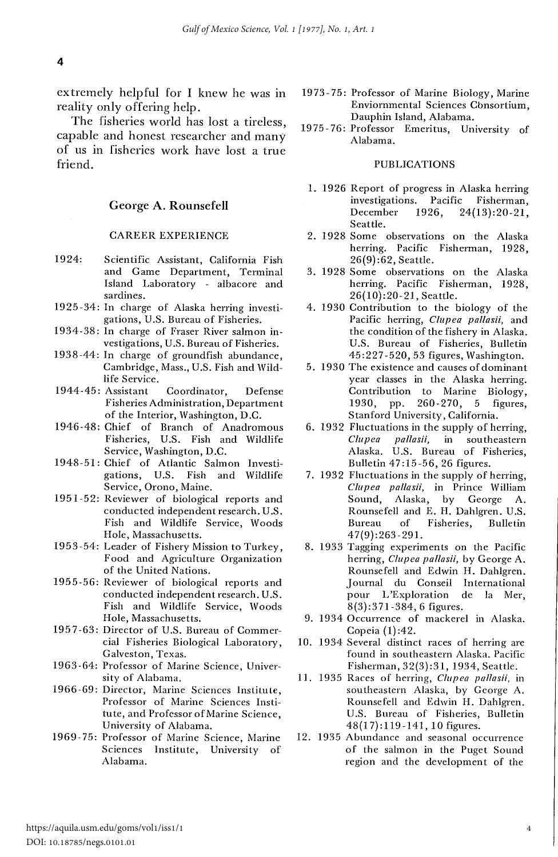extremely helpful for I knew he was in reality only offering help.

The fisheries world has lost a tireless, capable and honest researcher and many of us in fisheries work have lost a true friend.

#### George **A. Rounsefell**

#### CAREER EXPERIENCE

- 1924: Scientific Assistant, California Fish and Game Department, Terminal Island Laboratory - albacore and sardines.
- 1925-34: In charge of Alaska herring investigations, U.S. Bureau of Fisheries.
- 1934-38: In charge of Fraser River salmon investigations, U.S. Bureau of Fisheries.
- 1938-44: In charge of groundfish abundance, Cambridge, Mass., U.S. Fish and Wildlife Service.
- 1944-45: Assistant Coordinator, Defense Fisheries Administration, Department of the Interior, Washington, D.C.
- 1946-48: Chief of Branch of Anadromous Fisheries, U.S. Fish and Wildlife Service, Washington, D.C.
- 1948-51: Chief of Atlantic Salmon Investigations, U.S. Fish and Wildlife Service, Orono, Maine.
- 1951-52: Reviewer of biological reports and conducted independent research. U.S. Fish and Wildlife Service, Woods Hole, Massachusetts.
- 1953-54: Leader of Fishery Mission to Turkey, Food and Agriculture Organization of the United Nations.
- 1955-56: Reviewer of biological reports and conducted independent research. U.S. Fish and Wildlife Service, Woods Hole, Massachusetts.
- 1957-63: Director of U.S. Bureau of Commercial Fisheries Biological Laboratory, Galveston, Texas\_
- 1963-64: Professor of Marine Science, University of Alabama.
- 1966-69: Director, Marine Sciences Institute, Professor of Marine Sciences Institute, and Professor of Marine Science, University of Alabama.
- 1969-75: Professor of Marine Science, Marine Sciences Institute, University of Alabama.
- 1973-75: Professor of Marine Biology, Marine Enviornmental Sciences Cbnsortium, Dauphin Island, Alabama.
- 19 75-76: Professor Emeritus, University of Alabama.

#### PUBLICATIONS

- 1. 1926 Report of progress in Alaska herring investigations. Pacific Fisherman, December 1926, 24(13):20-21, Seattle.
- 2. 1928 Some observations on the Alaska herring. Pacific Fisherman, 1928, 26(9):62, Seattle.
- 3. 1928 Some observations on the Alaska herring. Pacific Fisherman, 1928, 26(10):20-21, Seattle.
- 4. 1930 Contribution to the biology of the Pacific herring, *Clupea pallasii,* and the condition of the fishery in Alaska. U.S. Bureau of Fisheries, Bulletin 45:227-520,53 figures, Washington.
- 5. 1930 The existence and causes of dominant year classes in the Alaska herring. Contribution to Marine Biology,<br>1930, pp. 260-270, 5 figures, 260-270, 5 figures, Stanford University, California.
- 6. 1932 Fluctuations in the supply of herring, *Clupea pallasii,* in southeastern Alaska. U.S. Bureau of Fisheries, Bulletin 47:15-56, 26 figures.
- 7. 1932 Fluctuations in the supply of herring, *Clupea pallasii,* in Prince William Sound, Alaska, by George A. Rounsefell and E. H. Dahlgren. U.S. Bureau of Fisheries, Bulletin 47(9):263-291.
- 8. 1933 Tagging experiments on the Pacific herring, *Clupea pallasii,* by George A. Rounsefell and Edwin H. Dahlgren. Journal du Conseil International pour L'Exploration de Ia Mer, 8(3):371-384, 6 figures.
- 9. 1934 Occurrence of mackerel in Alaska. Copeia (I) :42.
- 10. 1934 Several distinct races of herring are found in southeastern Alaska\_ Pacific Fisherman, 32(3):31, 1934, Seattle\_
- **11.** 1935 Races of herring, *Clupea pallasii,* in southeastern Alaska, by George A. Rounsefell and Edwin H. Dahlgren. U.S. Bureau of Fisheries, Bulletin 48(17):119-141, 10 figures\_
- 12. 1935 Abundance and seasonal occurrence of the salmon in the Puget Sound region and the development of the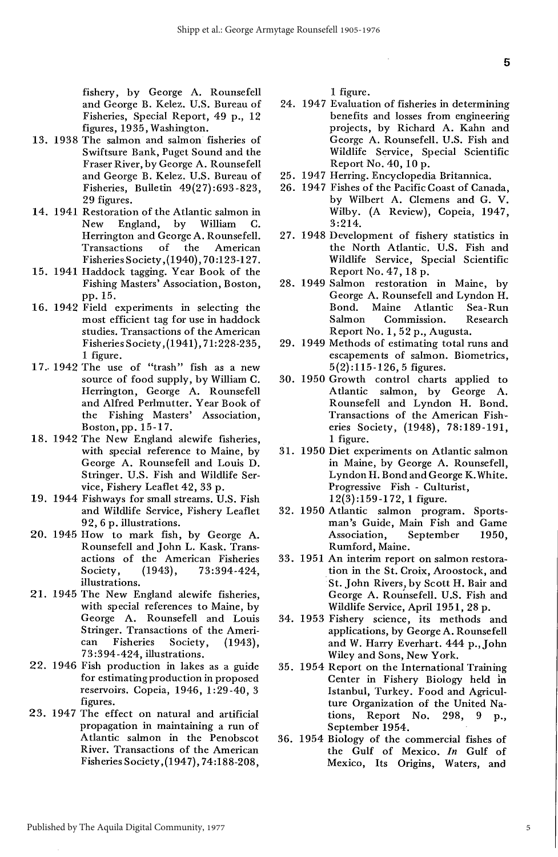fishery, by George A. Rounsefell and George B. Kelez. U.S. Bureau of Fisheries, Special Report, 49 p., 12 figures, 1935, Washington.

- 13. 1938 The salmon and salmon fisheries of Swiftsure Bank, Puget Sound and the Fraser River, by George A. Rounsefell and George B. Kelez. U.S. Bureau of Fisheries, Bulletin 49(27):693-823, 29 figures.
- 14. 1941 Restoration of the Atlantic salmon in<br>New England, by William C. England, by Herrington and George A. Rounsefell. Transactions of the American Fisheries Society ,(1940), 70:123-127.
- 15. 1941 Haddock tagging. Year Book of the Fishing Masters' Association, Boston, pp. 15.
- 16. 1942 Field experiments in selecting the most efficient tag for use in haddock studies. Transactions of the American Fisheries Society, (1941), 71:228-235, 1 figure.
- 17. 1942 The use of "trash" fish as a new source of food supply, by William C. Herrington, George A. Rounsefell and Alfred Perlmutter. Year Book of the Fishing Masters' Association, Boston, pp. 15-17.
- 18. 1942 The New England alewife fisheries, with special reference to Maine, by George A. Rounsefell and Louis D. Stringer. U.S. Fish and Wildlife Service, Fishery Leaflet 42, 33 p.
- 19. 1944 Fishways for small streams. U.S. Fish and Wildlife Service, Fishery Leaflet 92, 6 p. illustrations.
- 20. 1945 How to mark fish, by George A. Rounsefell and John L. Kask. Transactions of the American Fisheries<br>Society, (1943), 73:394-424, Society, (1943), 73:394-424, illustrations.
- 21. 1945 The New England alewife fisheries, with special references to Maine, by George A. Rounsefell and Louis Stringer. Transactions of the American Fisheries Society, (1943), 73:394-424, illustrations.
- 22. 1946 Fish production in lakes as a guide for estimating production in proposed reservoirs. Copeia, 1946, 1:29-40, 3 figures.
- 23. 1947 The effect on natural and artificial propagation in maintaining a run of Atlantic salmon in the Penobscot River. Transactions of the American Fisheries Society ,(194 7), 74:188-208,

1 figure.

- 24. 1947 Evaluation of fisheries in determining benefits and losses from engineering projects, by Richard A. Kahn and George A. Rounsefell. U.S. Fish and Wildlife Service, Special Scientific Report No. 40, 10 p.
- 25. 1947 Herring. Encyclopedia Britannica.
- 26. 1947 Fishes of the Pacific Coast of Canada, by Wilbert A. Clemens and G. V. Wilby. (A Review), Copeia, 1947, 3:214.
- 27. 1948 Development of fishery statistics in the North Atlantic. U.S. Fish and Wildlife Service, Special Scientific Report No. 47,18 p.
- 28. 1949 Salmon restoration in Maine, by George A. Rounsefell and Lyndon H.<br>Bond. Maine Atlantic Sea-Run Bond. Maine Atlantic Salmon Commission. Research Report No.1, 52 p., Augusta.
- 29. 1949 Methods of estimating total runs and escapements of salmon. Biometrics, 5(2):115-126, 5 figures.
- 30. 1950 Growth control charts applied to Atlantic salmon, by George A. Rounsefell and Lyndon H. Bond. Transactions of the American Fish· eries Society, (1948), 78:189-191, 1 figure.
- 31. 1950 Diet experiments on Atlantic salmon in Maine, by George A. Rounsefell, Lyndon H. Bond and George K. White. Progressive Fish - Culturist, 12(3):159-172, 1 figure.
- 32. 1950 Atlantic salmon program. Sportsman's Guide, Main Fish and Game Association, September 1950, Rumford, Maine.
- 33. 1951 An interim report on salmon restoration in the St. Croix, Aroostock, and St. John Rivers, by Scott H. Bair and George A. Rounsefell. U.S. Fish and Wildlife Service, April 1951, 28 p.
- 34. 1953 Fishery science, its methods and applications, by George A. Rounsefell and W. Harry Everhart. 444 p., John Wiley and Sons, New York.
- 35. 1954 Report on the International Training Center in Fishery Biology held in Istanbul, Turkey. Food and Agriculture Organization of the United Na-<br>tions, Report No. 298, 9 p., Report No. 298, 9 p., September 1954.
- 36. 1954 Biology of the commercial fishes of the Gulf of Mexico. *In* Gulf of Mexico, Its Origins, Waters, and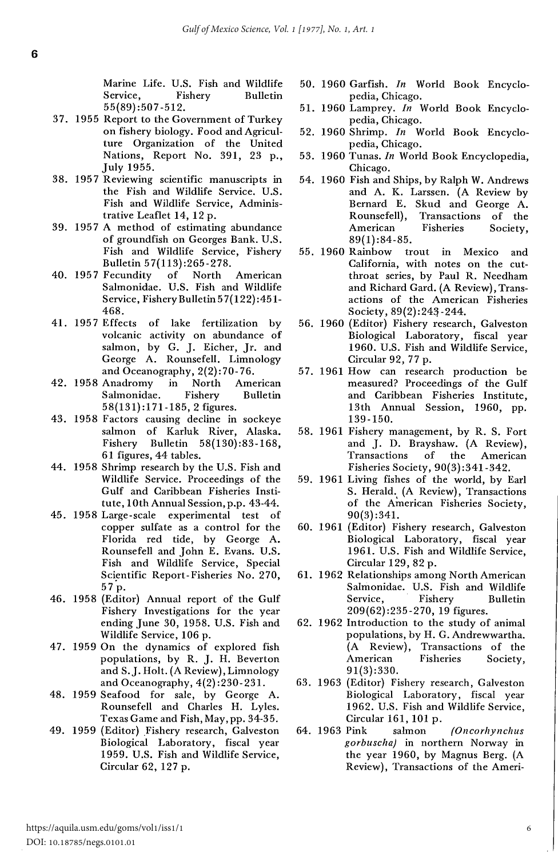Marine Life. U.S. Fish and Wildlife Service, Fishery Bulletin 55(89):507-512.

- 37. 1955 Report to the Government of Turkey on fishery biology. Food and Agriculture Organization of the United Nations, Report No. 391, 23 p., July 1955.
- 38. 1957 Reviewing scientific manuscripts in the Fish and Wildlife Service. U.S. Fish and Wildlife Service, Administrative Leaflet 14, 12 p.
- 39. 1957 A method of estimating abundance of groundfish on Georges Bank. U.S. Fish and Wildlife Service, Fishery Bulletin 5 7(113) :265-278.
- 40. 1957 Fecundity of North American Salmonidae. U.S. Fish and Wildlife Service, FisheryBulletin5 7(122) :451- 468.
- 41. 1957 Effects of lake fertilization by volcanic activity on abundance of salmon, by G. J. Eicher, Jr. and George A. Rounsefell. Limnology and Oceanography, 2(2):70-76.
- 42. 1958 Anadromy in North American Salmonidae. Fishery Bulletin 58(131): 171-185, 2 figures.
- 43. 1958 Factors causing decline in sockeye salmon of Karluk River, Alaska. Fishery Bulletin 58(130):83-168, 61 figures, 44 tables.
- 44. 1958 Shrimp research by the U.S. Fish and Wildlife Service. Proceedings of the Gulf and Caribbean Fisheries Institute, 1Oth Annual Session, p.p. 43-44.
- 45. 1958 Large-scale experimental test of copper sulfate as a control for the Florida red tide, by George A. Rounsefell and John E. Evans. U.S. Fish and Wildlife Service, Special Scientific Report-Fisheries No. 270, 57.p.
- 46. 1958 (Editor) Annual report of the Gulf Fishery Investigations for the year ending June 30, 1958. U.S. Fish and Wildlife Service, 106 p.
- 47. 1959 On the dynamics of explored fish populations, by R. J. H. Beverton and S.J. Holt. (A Review), Limnology and Oceanography, 4(2) :230-231.
- 48. 1959 Seafood for sale, by George A. Rounsefell and Charles H. Lyles. Texas Game and Fish, May, pp. 34-35.
- 49. 1959 (Editor) Fishery research, Galveston Biological Laboratory, fiscal year 1959. U.S. Fish and Wildlife Service, Circular 62, 127 p.
- 50. 1960 Garfish. *In* World Book Encyclopedia, Chicago.
- 51. 1960 Lamprey. *In* World Book Encyclopedia, Chicago.
- 52. 1960 Shrimp. *In* World Book Encyclopedia, Chicago.
- 53. 1960 Tunas. *In* World Book Encyclopedia, Chicago.
- 54. 1960 Fish and Ships, by Ralph W. Andrews and A. K. Larssen. (A Review by Bernard E. Skud and George A. Rounsefell), Transactions of the American Fisheries Society, 89(1):84-85.
- 55. 1960 Rainbow trout in Mexico and California, with notes on the cutthroat series, by Paul R. Needham and Richard Gard. (A Review), Transactions of the American Fisheries Society, 89(2):243-244.
- 56. 1960 (Editor) Fishery research, Galveston Biological Laboratory, fiscal year 1960. U.S. Fish and Wildlife Service, Circular 92, 77 p.
- 57. 1961 How can research production be measured? Proceedings of the Gulf and Caribbean Fisheries Institute, 13th Annual Session, 1960, pp. 139-150.
- 58. 1961 Fishery management, by R. S. Fort and J. D. Brayshaw. (A Review), Transactions of the American Fisheries Society, 90(3):341-342.
- 59. 1961 Living fishes of the world, by Earl S. Herald. (A Review), Transactions of the Ainerican Fisheries Society, 90(3) :341.
- 60. 1961 (Editor) Fishery research, Galveston Biological Laboratory, fiscal year 1961. U.S. Fish and Wildlife Service, Circular 129, 82 p.
- 61. 1962 Relationships among North American Salmonidae. U.S. Fish and Wildlife Service, Fishery Bulletin 209(62):235-270, 19 figures.
- 62. 1962 Introduction to the study of animal populations, by H. G. Andrewwartha. (A Review), Transactions of the American Fisheries Society, 91(3):330.
- 63. 1963 (Editor) Fishery research, Galveston Biological Laboratory, fiscal year 1962. U.S. Fish and Wildlife Service, Circular 161, 101 p.
- 64. 1963 Pink salmon (Oncorhynchus gorbuscha) in northern Norway in the year 1960, by Magnus Berg. (A Review), Transactions of the Ameri-